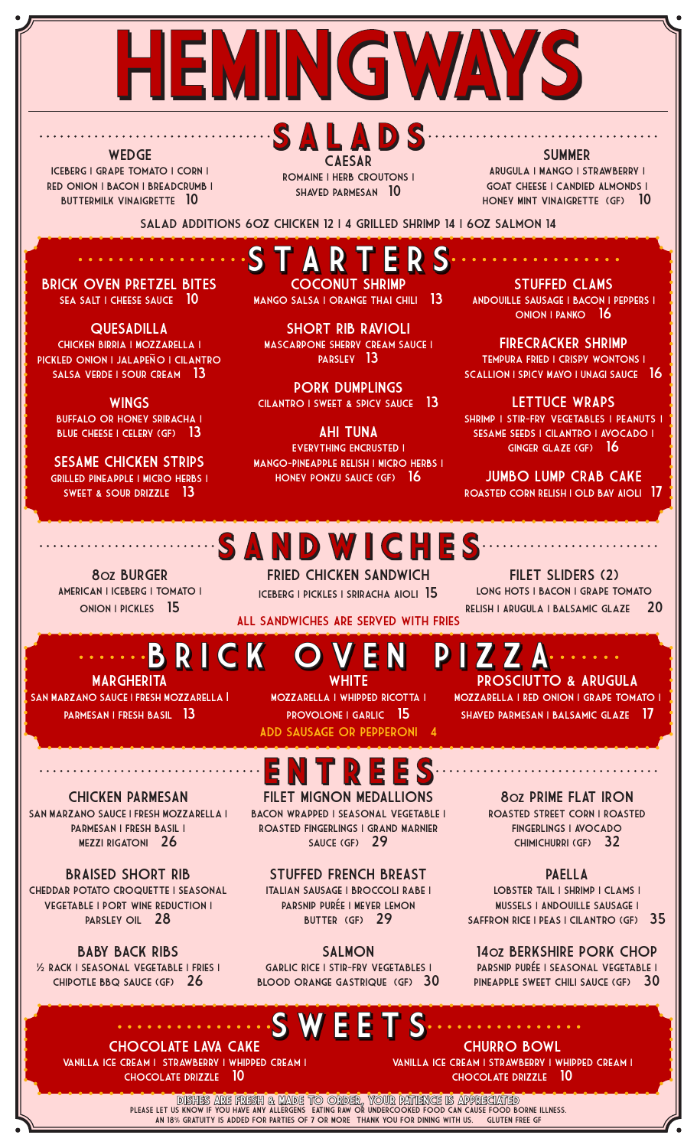

**WEDGE** Iceberg | Grape Tomato | Corn | Red Onion | Bacon | Breadcrumb | BUTTERMILK VINAIGRETTE 10

SALADS CAESAR Romaine | Herb Croutons | Shaved Parmesan 10

SUMMER Arugula | Mango | Strawberry | GOAT CHEESE I CANDIED ALMONDS I HONEY MINT VINAIGRETTE (GF) 10

Salad Additions 6oz Chicken 12 | 4 Grilled Shrimp 14 | 6oz Salmon 14

BRICK OVEN PRETZEL BITES SEA SALT I CHEESE SAUCE 10

**QUESADILLA** CHICKEN BIRRIA | MOZZARELLA | PICKLED ONION I JALAPEÑO I CILANTRO SALSA VERDE I SOUR CREAM 13

**WINGS** BUFFALO OR HONEY SRIRACHA I BLUE CHEESE | CELERY (GF) 13

SESAME CHICKEN STRIPS Grilled Pineapple | Micro Herbs | Sweet & Sour Drizzle 13

S T A R T E R S COCONUT SHRIMP

MANGO SALSA I ORANGE THAI CHILI 13

SHORT RIB RAVIOLI MASCARPONE SHERRY CREAM SAUCE I Parsley 13

PORK DUMPLINGS CILANTRO I SWEET & SPICY SAUCE 13

AHI TUNA Everything Encrusted | Mango-Pineapple Relish | Micro Herbs | Honey Ponzu Sauce (GF) 16

STUFFED CLAMS Andouille Sausage | Bacon | Peppers | Onion | Panko 16

FIRECRACKER SHRIMP Tempura Fried | Crispy Wontons | SCALLION I SPICY MAYO I UNAGI SAUCE 16

LETTUCE WRAPS SHRIMP | STIR-FRY VEGETABLES | PEANUTS | SESAME SEEDS | CILANTRO | AVOCADO | Ginger Glaze (GF) 16

JUMBO LUMP CRAB CAKE Roasted Corn Relish | Old Bay Aioli 17

FILET SLIDERS (2) LONG HOTS I BACON I GRAPE TOMATO Relish | Arugula | Balsamic Glaze 20

8oz BURGER American | Iceberg | Tomato | ONION | PICKLES 15

### SANDWICHES

FRIED CHICKEN SANDWICH Iceberg | Pickles | Sriracha Aioli 15

All Sandwiches Are Served With Fries

# B R I C K O V E N P I Z Z A

**MARGHERITA** SAN MARZANO SAUCE I FRESH MOZZARELLA | PARMESAN I FRESH BASIL 13

CHICKEN PARMESAN SAN MARZANO SAUCE I FRESH MOZZARELLA I Parmesan | Fresh Basil | Mezzi Rigatoni 26

BRAISED SHORT RIB Cheddar Potato Croquette | Seasonal Vegetable | Port Wine Reduction | PARSLEY OIL 28

BABY BACK RIBS ½ Rack | Seasonal Vegetable | Fries | Chipotle BBQ Sauce (GF) 26

WHITE<br>| MOZZARELLA | WHIPPED RICOTTA | PROVOLONE I GARLIC 15 Add Sausage or Pepperoni 4

PROSCIUTTO & ARUGULA Mozzarella | Red Onion | Grape Tomato | SHAVED PARMESAN I BALSAMIC GLAZE 17

E N T R E E S

FILET MIGNON MEDALLIONS Bacon Wrapped | Seasonal Vegetable | Roasted Fingerlings | Grand Marnier SAUCE (GF) 29

STUFFED FRENCH BREAST Italian Sausage | Broccoli Rabe | PARSNIP PURÉE I MEYER LEMON BUTTER (GF) 29

SALMON

GARLIC RICE I STIR-FRY VEGETABLES I Blood Orange Gastrique (GF) 30

5 S

8oz PRIME FLAT IRON Roasted Street Corn | Roasted Fingerlings | Avocado Chimichurri (GF) 32

PAELLA<br>LOBSTER TAIL | SHRIMP | CLAMS | Mussels | Andouille Sausage | SAFFRON RICE I PEAS I CILANTRO (GF) 35

14oz BERKSHIRE PORK CHOP PARSNIP PURÉE I SEASONAL VEGETABLE I PINEAPPLE SWEET CHILI SAUCE (GF) 30

CHOCOLATE LAVA CAKE Vanilla Ice Cream | Strawberry | Whipped Cream | Chocolate Drizzle 10

CHURRO BOWL Vanilla Ice Cream | Strawberry | Whipped Cream | Chocolate Drizzle 10

PLEASE LET US KNOW IF YOU HAVE ANY ALLERGENS • EATING RAW OR UNDERCOOKED FOOD CAN CAUSE FOOD BORNE ILLNESS. AN 18% GRATUITY IS ADDED FOR PARTIES OF 7 OR MORE THANK YOU FOR DINING WITH US. GLUTEN FREE GF DISHES ARE FRESH & MADE TO ORDER, YOUR PATIENCE IS APPRECIATED